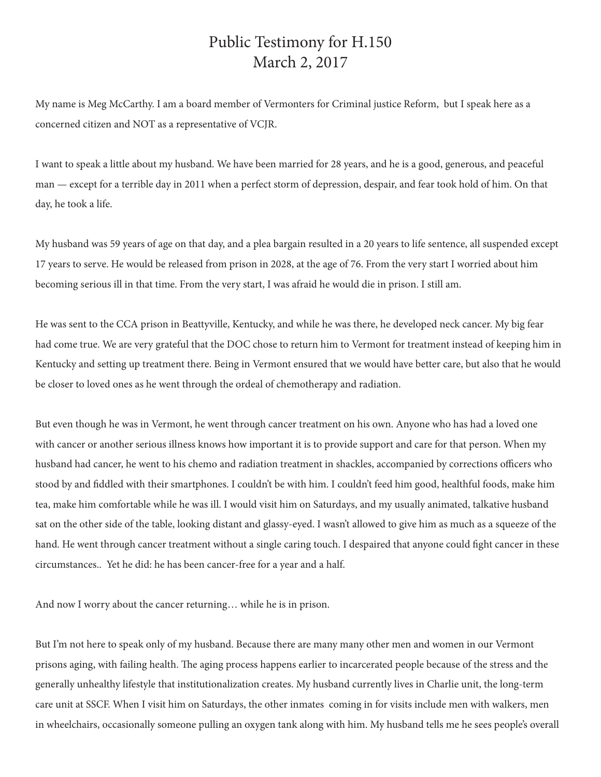## Public Testimony for H.150 March 2, 2017

My name is Meg McCarthy. I am a board member of Vermonters for Criminal justice Reform, but I speak here as a concerned citizen and NOT as a representative of VCJR.

I want to speak a little about my husband. We have been married for 28 years, and he is a good, generous, and peaceful man — except for a terrible day in 2011 when a perfect storm of depression, despair, and fear took hold of him. On that day, he took a life.

My husband was 59 years of age on that day, and a plea bargain resulted in a 20 years to life sentence, all suspended except 17 years to serve. He would be released from prison in 2028, at the age of 76. From the very start I worried about him becoming serious ill in that time. From the very start, I was afraid he would die in prison. I still am.

He was sent to the CCA prison in Beattyville, Kentucky, and while he was there, he developed neck cancer. My big fear had come true. We are very grateful that the DOC chose to return him to Vermont for treatment instead of keeping him in Kentucky and setting up treatment there. Being in Vermont ensured that we would have better care, but also that he would be closer to loved ones as he went through the ordeal of chemotherapy and radiation.

But even though he was in Vermont, he went through cancer treatment on his own. Anyone who has had a loved one with cancer or another serious illness knows how important it is to provide support and care for that person. When my husband had cancer, he went to his chemo and radiation treatment in shackles, accompanied by corrections officers who stood by and fiddled with their smartphones. I couldn't be with him. I couldn't feed him good, healthful foods, make him tea, make him comfortable while he was ill. I would visit him on Saturdays, and my usually animated, talkative husband sat on the other side of the table, looking distant and glassy-eyed. I wasn't allowed to give him as much as a squeeze of the hand. He went through cancer treatment without a single caring touch. I despaired that anyone could fight cancer in these circumstances.. Yet he did: he has been cancer-free for a year and a half.

And now I worry about the cancer returning… while he is in prison.

But I'm not here to speak only of my husband. Because there are many many other men and women in our Vermont prisons aging, with failing health. The aging process happens earlier to incarcerated people because of the stress and the generally unhealthy lifestyle that institutionalization creates. My husband currently lives in Charlie unit, the long-term care unit at SSCF. When I visit him on Saturdays, the other inmates coming in for visits include men with walkers, men in wheelchairs, occasionally someone pulling an oxygen tank along with him. My husband tells me he sees people's overall